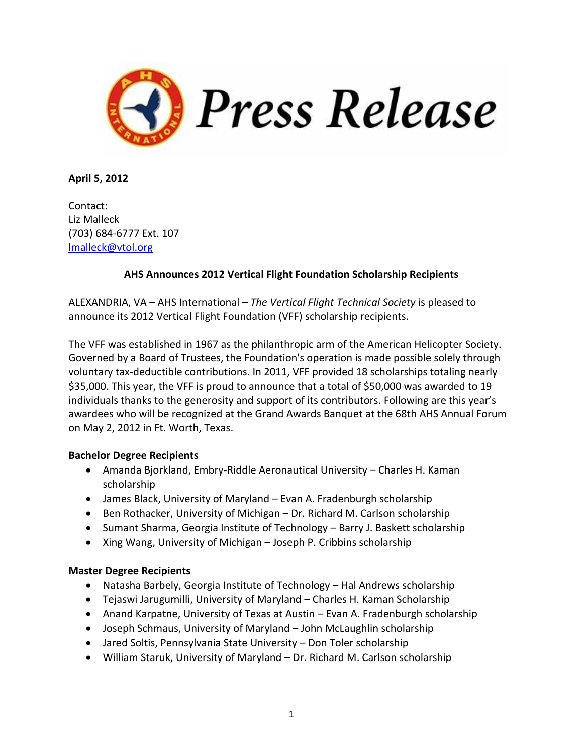

**April 5, 2012**

Contact: Liz Malleck (703) 684-6777 Ext. 107 [lmalleck@vtol.org](mailto:lmalleck@vtol.org)

## **AHS Announces 2012 Vertical Flight Foundation Scholarship Recipients**

ALEXANDRIA, VA – AHS International – *The Vertical Flight Technical Society* is pleased to announce its 2012 Vertical Flight Foundation (VFF) scholarship recipients.

The VFF was established in 1967 as the philanthropic arm of the American Helicopter Society. Governed by a Board of Trustees, the Foundation's operation is made possible solely through voluntary tax-deductible contributions. In 2011, VFF provided 18 scholarships totaling nearly \$35,000. This year, the VFF is proud to announce that a total of \$50,000 was awarded to 19 individuals thanks to the generosity and support of its contributors. Following are this year's awardees who will be recognized at the Grand Awards Banquet at the 68th AHS Annual Forum on May 2, 2012 in Ft. Worth, Texas.

## **Bachelor Degree Recipients**

- Amanda Bjorkland, Embry-Riddle Aeronautical University Charles H. Kaman scholarship
- James Black, University of Maryland Evan A. Fradenburgh scholarship
- Ben Rothacker, University of Michigan Dr. Richard M. Carlson scholarship
- Sumant Sharma, Georgia Institute of Technology Barry J. Baskett scholarship
- Xing Wang, University of Michigan Joseph P. Cribbins scholarship

## **Master Degree Recipients**

- Natasha Barbely, Georgia Institute of Technology Hal Andrews scholarship
- Tejaswi Jarugumilli, University of Maryland Charles H. Kaman Scholarship
- Anand Karpatne, University of Texas at Austin Evan A. Fradenburgh scholarship
- Joseph Schmaus, University of Maryland John McLaughlin scholarship
- Jared Soltis, Pennsylvania State University Don Toler scholarship
- William Staruk, University of Maryland Dr. Richard M. Carlson scholarship